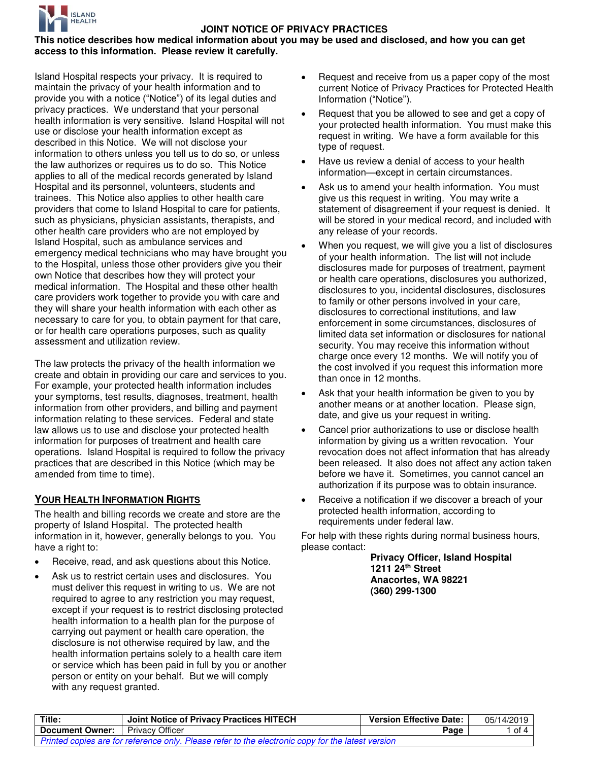

#### **This notice describes how medical information about you may be used and disclosed, and how you can get access to this information. Please review it carefully.**

Island Hospital respects your privacy. It is required to maintain the privacy of your health information and to provide you with a notice ("Notice") of its legal duties and privacy practices. We understand that your personal health information is very sensitive. Island Hospital will not use or disclose your health information except as described in this Notice. We will not disclose your information to others unless you tell us to do so, or unless the law authorizes or requires us to do so. This Notice applies to all of the medical records generated by Island Hospital and its personnel, volunteers, students and trainees. This Notice also applies to other health care providers that come to Island Hospital to care for patients, such as physicians, physician assistants, therapists, and other health care providers who are not employed by Island Hospital, such as ambulance services and emergency medical technicians who may have brought you to the Hospital, unless those other providers give you their own Notice that describes how they will protect your medical information. The Hospital and these other health care providers work together to provide you with care and they will share your health information with each other as necessary to care for you, to obtain payment for that care, or for health care operations purposes, such as quality assessment and utilization review.

The law protects the privacy of the health information we create and obtain in providing our care and services to you. For example, your protected health information includes your symptoms, test results, diagnoses, treatment, health information from other providers, and billing and payment information relating to these services. Federal and state law allows us to use and disclose your protected health information for purposes of treatment and health care operations. Island Hospital is required to follow the privacy practices that are described in this Notice (which may be amended from time to time).

## **YOUR HEALTH INFORMATION RIGHTS**

The health and billing records we create and store are the property of Island Hospital. The protected health information in it, however, generally belongs to you. You have a right to:

- Receive, read, and ask questions about this Notice.
- Ask us to restrict certain uses and disclosures. You must deliver this request in writing to us. We are not required to agree to any restriction you may request, except if your request is to restrict disclosing protected health information to a health plan for the purpose of carrying out payment or health care operation, the disclosure is not otherwise required by law, and the health information pertains solely to a health care item or service which has been paid in full by you or another person or entity on your behalf. But we will comply with any request granted.
- Request and receive from us a paper copy of the most current Notice of Privacy Practices for Protected Health Information ("Notice").
- Request that you be allowed to see and get a copy of your protected health information. You must make this request in writing. We have a form available for this type of request.
- Have us review a denial of access to your health information—except in certain circumstances.
- Ask us to amend your health information. You must give us this request in writing. You may write a statement of disagreement if your request is denied. It will be stored in your medical record, and included with any release of your records.
- When you request, we will give you a list of disclosures of your health information. The list will not include disclosures made for purposes of treatment, payment or health care operations, disclosures you authorized, disclosures to you, incidental disclosures, disclosures to family or other persons involved in your care, disclosures to correctional institutions, and law enforcement in some circumstances, disclosures of limited data set information or disclosures for national security. You may receive this information without charge once every 12 months. We will notify you of the cost involved if you request this information more than once in 12 months.
- Ask that your health information be given to you by another means or at another location. Please sign, date, and give us your request in writing.
- Cancel prior authorizations to use or disclose health information by giving us a written revocation. Your revocation does not affect information that has already been released. It also does not affect any action taken before we have it. Sometimes, you cannot cancel an authorization if its purpose was to obtain insurance.
- Receive a notification if we discover a breach of your protected health information, according to requirements under federal law.

For help with these rights during normal business hours, please contact:

> **Privacy Officer, Island Hospital 1211 24th Street Anacortes, WA 98221 (360) 299-1300**

| Title:                                                                                            | Joint Notice of Privacy Practices HITECH | <b>Version Effective Date:</b> | 05/14/2019 |
|---------------------------------------------------------------------------------------------------|------------------------------------------|--------------------------------|------------|
| <b>Document Owner:</b>   Privacy Officer                                                          |                                          | Page                           | of 4       |
| Printed copies are for reference only. Please refer to the electronic copy for the latest version |                                          |                                |            |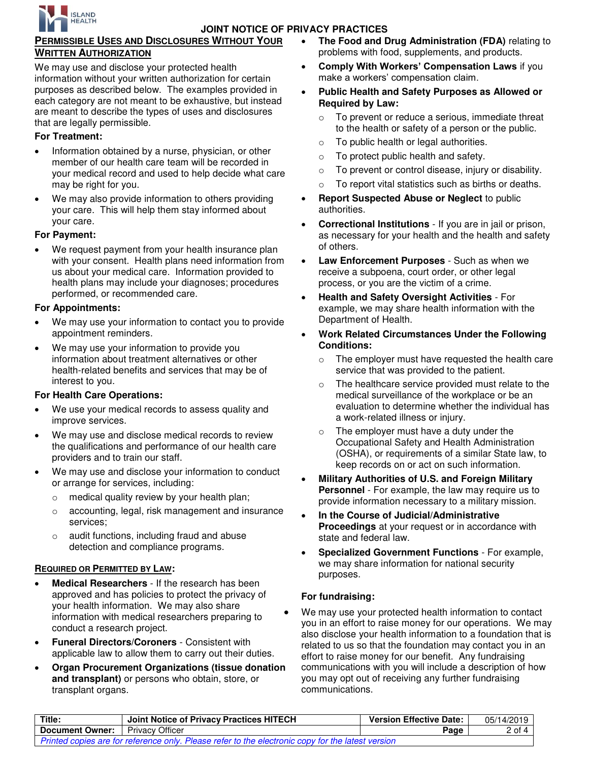

# **PERMISSIBLE USES AND DISCLOSURES WITHOUT YOUR WRITTEN AUTHORIZATION**

We may use and disclose your protected health information without your written authorization for certain purposes as described below. The examples provided in each category are not meant to be exhaustive, but instead are meant to describe the types of uses and disclosures that are legally permissible.

## **For Treatment:**

- Information obtained by a nurse, physician, or other member of our health care team will be recorded in your medical record and used to help decide what care may be right for you.
- We may also provide information to others providing your care. This will help them stay informed about your care.

#### **For Payment:**

We request payment from your health insurance plan with your consent. Health plans need information from us about your medical care. Information provided to health plans may include your diagnoses; procedures performed, or recommended care.

#### **For Appointments:**

- We may use your information to contact you to provide appointment reminders.
- We may use your information to provide you information about treatment alternatives or other health-related benefits and services that may be of interest to you.

## **For Health Care Operations:**

- We use your medical records to assess quality and improve services.
- We may use and disclose medical records to review the qualifications and performance of our health care providers and to train our staff.
- We may use and disclose your information to conduct or arrange for services, including:
	- o medical quality review by your health plan;
	- o accounting, legal, risk management and insurance services;
	- o audit functions, including fraud and abuse detection and compliance programs.

## **REQUIRED OR PERMITTED BY LAW:**

- **Medical Researchers** If the research has been approved and has policies to protect the privacy of your health information. We may also share information with medical researchers preparing to conduct a research project.
- **Funeral Directors/Coroners**  Consistent with applicable law to allow them to carry out their duties.
- **Organ Procurement Organizations (tissue donation and transplant)** or persons who obtain, store, or transplant organs.
- **The Food and Drug Administration (FDA)** relating to problems with food, supplements, and products.
- **Comply With Workers' Compensation Laws** if you make a workers' compensation claim.
- **Public Health and Safety Purposes as Allowed or Required by Law:** 
	- o To prevent or reduce a serious, immediate threat to the health or safety of a person or the public.
	- o To public health or legal authorities.
	- o To protect public health and safety.
	- o To prevent or control disease, injury or disability.
	- o To report vital statistics such as births or deaths.
- **Report Suspected Abuse or Neglect** to public authorities.
- **Correctional Institutions**  If you are in jail or prison, as necessary for your health and the health and safety of others.
- **Law Enforcement Purposes** Such as when we receive a subpoena, court order, or other legal process, or you are the victim of a crime.
- **Health and Safety Oversight Activities** For example, we may share health information with the Department of Health.
- **Work Related Circumstances Under the Following Conditions:**
	- o The employer must have requested the health care service that was provided to the patient.
	- o The healthcare service provided must relate to the medical surveillance of the workplace or be an evaluation to determine whether the individual has a work-related illness or injury.
	- o The employer must have a duty under the Occupational Safety and Health Administration (OSHA), or requirements of a similar State law, to keep records on or act on such information.
- **Military Authorities of U.S. and Foreign Military Personnel** - For example, the law may require us to provide information necessary to a military mission.
- **In the Course of Judicial/Administrative Proceedings** at your request or in accordance with state and federal law.
- **Specialized Government Functions** For example, we may share information for national security purposes.

## **For fundraising:**

 We may use your protected health information to contact you in an effort to raise money for our operations. We may also disclose your health information to a foundation that is related to us so that the foundation may contact you in an effort to raise money for our benefit. Any fundraising communications with you will include a description of how you may opt out of receiving any further fundraising communications.

| Title:                                                                                            | Joint Notice of Privacy Practices HITECH | <b>Version Effective Date:</b> | 05/14/2019 |
|---------------------------------------------------------------------------------------------------|------------------------------------------|--------------------------------|------------|
| <b>Document Owner:</b>                                                                            | <b>Privacy Officer</b>                   | Page                           | $2$ of $4$ |
| Printed copies are for reference only. Please refer to the electronic copy for the latest version |                                          |                                |            |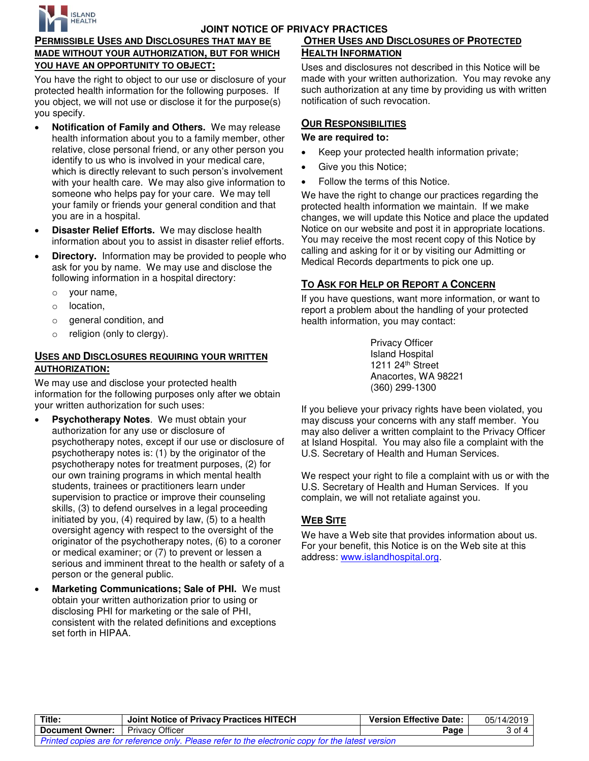

## **PERMISSIBLE USES AND DISCLOSURES THAT MAY BE MADE WITHOUT YOUR AUTHORIZATION, BUT FOR WHICH YOU HAVE AN OPPORTUNITY TO OBJECT:**

You have the right to object to our use or disclosure of your protected health information for the following purposes. If you object, we will not use or disclose it for the purpose(s) you specify.

- **Notification of Family and Others.** We may release health information about you to a family member, other relative, close personal friend, or any other person you identify to us who is involved in your medical care, which is directly relevant to such person's involvement with your health care. We may also give information to someone who helps pay for your care. We may tell your family or friends your general condition and that you are in a hospital.
- **Disaster Relief Efforts.** We may disclose health information about you to assist in disaster relief efforts.
- **Directory.** Information may be provided to people who ask for you by name. We may use and disclose the following information in a hospital directory:
	- o your name,
	- o location,
	- o general condition, and
	- o religion (only to clergy).

#### **USES AND DISCLOSURES REQUIRING YOUR WRITTEN AUTHORIZATION:**

We may use and disclose your protected health information for the following purposes only after we obtain your written authorization for such uses:

- **Psychotherapy Notes**. We must obtain your authorization for any use or disclosure of psychotherapy notes, except if our use or disclosure of psychotherapy notes is: (1) by the originator of the psychotherapy notes for treatment purposes, (2) for our own training programs in which mental health students, trainees or practitioners learn under supervision to practice or improve their counseling skills, (3) to defend ourselves in a legal proceeding initiated by you, (4) required by law, (5) to a health oversight agency with respect to the oversight of the originator of the psychotherapy notes, (6) to a coroner or medical examiner; or (7) to prevent or lessen a serious and imminent threat to the health or safety of a person or the general public.
- **Marketing Communications; Sale of PHI.** We must obtain your written authorization prior to using or disclosing PHI for marketing or the sale of PHI, consistent with the related definitions and exceptions set forth in HIPAA.

# **OTHER USES AND DISCLOSURES OF PROTECTED HEALTH INFORMATION**

Uses and disclosures not described in this Notice will be made with your written authorization. You may revoke any such authorization at any time by providing us with written notification of such revocation.

## **OUR RESPONSIBILITIES**

#### **We are required to:**

- Keep your protected health information private;
- Give you this Notice;
- Follow the terms of this Notice.

We have the right to change our practices regarding the protected health information we maintain. If we make changes, we will update this Notice and place the updated Notice on our website and post it in appropriate locations. You may receive the most recent copy of this Notice by calling and asking for it or by visiting our Admitting or Medical Records departments to pick one up.

# **TO ASK FOR HELP OR REPORT A CONCERN**

If you have questions, want more information, or want to report a problem about the handling of your protected health information, you may contact:

> Privacy Officer Island Hospital 1211 24th Street Anacortes, WA 98221 (360) 299-1300

If you believe your privacy rights have been violated, you may discuss your concerns with any staff member. You may also deliver a written complaint to the Privacy Officer at Island Hospital. You may also file a complaint with the U.S. Secretary of Health and Human Services.

We respect your right to file a complaint with us or with the U.S. Secretary of Health and Human Services. If you complain, we will not retaliate against you.

# **WEB SITE**

We have a Web site that provides information about us. For your benefit, this Notice is on the Web site at this address: [www.islandhospital.org.](http://www.islandhospital.org/)

| Title:                                                                                            | Joint Notice of Privacy Practices HITECH | <b>Version Effective Date:</b> | 05/14/2019       |
|---------------------------------------------------------------------------------------------------|------------------------------------------|--------------------------------|------------------|
| <b>Document Owner:</b>   Privacy Officer                                                          |                                          | Page                           | $3$ of 4 $\vert$ |
| Printed copies are for reference only. Please refer to the electronic copy for the latest version |                                          |                                |                  |